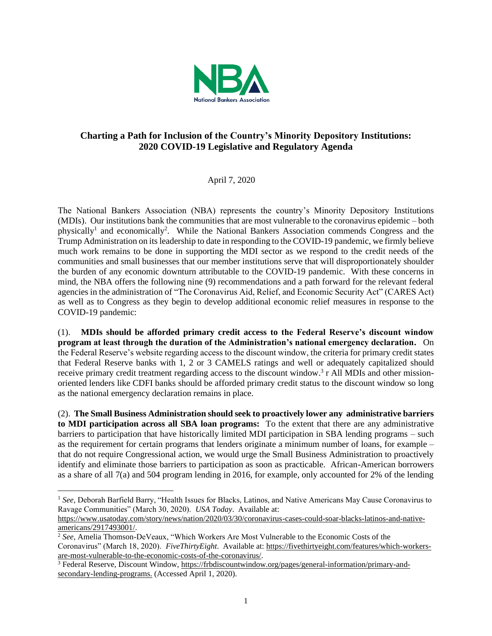

## **Charting a Path for Inclusion of the Country's Minority Depository Institutions: 2020 COVID-19 Legislative and Regulatory Agenda**

April 7, 2020

The National Bankers Association (NBA) represents the country's Minority Depository Institutions (MDIs). Our institutions bank the communities that are most vulnerable to the coronavirus epidemic – both physically<sup>1</sup> and economically<sup>2</sup>. While the National Bankers Association commends Congress and the Trump Administration on its leadership to date in responding to the COVID-19 pandemic, we firmly believe much work remains to be done in supporting the MDI sector as we respond to the credit needs of the communities and small businesses that our member institutions serve that will disproportionately shoulder the burden of any economic downturn attributable to the COVID-19 pandemic. With these concerns in mind, the NBA offers the following nine (9) recommendations and a path forward for the relevant federal agencies in the administration of "The Coronavirus Aid, Relief, and Economic Security Act" (CARES Act) as well as to Congress as they begin to develop additional economic relief measures in response to the COVID-19 pandemic:

(1). **MDIs should be afforded primary credit access to the Federal Reserve's discount window program at least through the duration of the Administration's national emergency declaration.** On the Federal Reserve's website regarding access to the discount window, the criteria for primary credit states that Federal Reserve banks with 1, 2 or 3 CAMELS ratings and well or adequately capitalized should receive primary credit treatment regarding access to the discount window.<sup>3</sup> r All MDIs and other missionoriented lenders like CDFI banks should be afforded primary credit status to the discount window so long as the national emergency declaration remains in place.

(2). **The Small Business Administration should seek to proactively lower any administrative barriers to MDI participation across all SBA loan programs:** To the extent that there are any administrative barriers to participation that have historically limited MDI participation in SBA lending programs – such as the requirement for certain programs that lenders originate a minimum number of loans, for example – that do not require Congressional action, we would urge the Small Business Administration to proactively identify and eliminate those barriers to participation as soon as practicable. African-American borrowers as a share of all 7(a) and 504 program lending in 2016, for example, only accounted for 2% of the lending

<sup>1</sup> *See,* Deborah Barfield Barry, "Health Issues for Blacks, Latinos, and Native Americans May Cause Coronavirus to Ravage Communities" (March 30, 2020). *USA Today*. Available at:

[https://www.usatoday.com/story/news/nation/2020/03/30/coronavirus-cases-could-soar-blacks-latinos-and-native](https://www.usatoday.com/story/news/nation/2020/03/30/coronavirus-cases-could-soar-blacks-latinos-and-native-americans/2917493001/)[americans/2917493001/.](https://www.usatoday.com/story/news/nation/2020/03/30/coronavirus-cases-could-soar-blacks-latinos-and-native-americans/2917493001/)

<sup>2</sup> *See,* Amelia Thomson-DeVeaux, "Which Workers Are Most Vulnerable to the Economic Costs of the Coronavirus" (March 18, 2020). *FiveThirtyEight*. Available at: [https://fivethirtyeight.com/features/which-workers](https://fivethirtyeight.com/features/which-workers-are-most-vulnerable-to-the-economic-costs-of-the-coronavirus/)[are-most-vulnerable-to-the-economic-costs-of-the-coronavirus/.](https://fivethirtyeight.com/features/which-workers-are-most-vulnerable-to-the-economic-costs-of-the-coronavirus/)

<sup>&</sup>lt;sup>3</sup> Federal Reserve, Discount Window, [https://frbdiscountwindow.org/pages/general-information/primary-and](https://frbdiscountwindow.org/pages/general-information/primary-and-secondary-lending-programs)[secondary-lending-programs.](https://frbdiscountwindow.org/pages/general-information/primary-and-secondary-lending-programs) (Accessed April 1, 2020).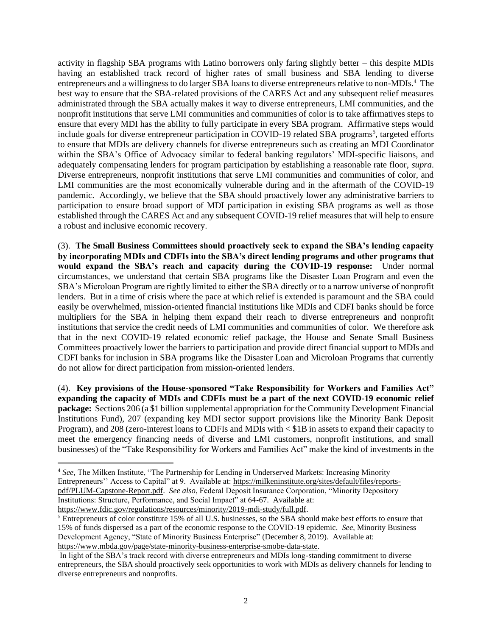activity in flagship SBA programs with Latino borrowers only faring slightly better – this despite MDIs having an established track record of higher rates of small business and SBA lending to diverse entrepreneurs and a willingness to do larger SBA loans to diverse entrepreneurs relative to non-MDIs.<sup>4</sup> The best way to ensure that the SBA-related provisions of the CARES Act and any subsequent relief measures administrated through the SBA actually makes it way to diverse entrepreneurs, LMI communities, and the nonprofit institutions that serve LMI communities and communities of color is to take affirmatives steps to ensure that every MDI has the ability to fully participate in every SBA program. Affirmative steps would include goals for diverse entrepreneur participation in COVID-19 related SBA programs<sup>5</sup>, targeted efforts to ensure that MDIs are delivery channels for diverse entrepreneurs such as creating an MDI Coordinator within the SBA's Office of Advocacy similar to federal banking regulators' MDI-specific liaisons, and adequately compensating lenders for program participation by establishing a reasonable rate floor, *supra*. Diverse entrepreneurs, nonprofit institutions that serve LMI communities and communities of color, and LMI communities are the most economically vulnerable during and in the aftermath of the COVID-19 pandemic. Accordingly, we believe that the SBA should proactively lower any administrative barriers to participation to ensure broad support of MDI participation in existing SBA programs as well as those established through the CARES Act and any subsequent COVID-19 relief measures that will help to ensure a robust and inclusive economic recovery.

(3). **The Small Business Committees should proactively seek to expand the SBA's lending capacity by incorporating MDIs and CDFIs into the SBA's direct lending programs and other programs that would expand the SBA's reach and capacity during the COVID-19 response:** Under normal circumstances, we understand that certain SBA programs like the Disaster Loan Program and even the SBA's Microloan Program are rightly limited to either the SBA directly or to a narrow universe of nonprofit lenders. But in a time of crisis where the pace at which relief is extended is paramount and the SBA could easily be overwhelmed, mission-oriented financial institutions like MDIs and CDFI banks should be force multipliers for the SBA in helping them expand their reach to diverse entrepreneurs and nonprofit institutions that service the credit needs of LMI communities and communities of color. We therefore ask that in the next COVID-19 related economic relief package, the House and Senate Small Business Committees proactively lower the barriers to participation and provide direct financial support to MDIs and CDFI banks for inclusion in SBA programs like the Disaster Loan and Microloan Programs that currently do not allow for direct participation from mission-oriented lenders.

(4). **Key provisions of the House-sponsored "Take Responsibility for Workers and Families Act" expanding the capacity of MDIs and CDFIs must be a part of the next COVID-19 economic relief package:** Sections 206 (a \$1 billion supplemental appropriation for the Community Development Financial Institutions Fund), 207 (expanding key MDI sector support provisions like the Minority Bank Deposit Program), and 208 (zero-interest loans to CDFIs and MDIs with < \$1B in assets to expand their capacity to meet the emergency financing needs of diverse and LMI customers, nonprofit institutions, and small businesses) of the "Take Responsibility for Workers and Families Act" make the kind of investments in the

<sup>4</sup> *See,* The Milken Institute, "The Partnership for Lending in Underserved Markets: Increasing Minority Entrepreneurs'' Access to Capital" at 9. Available at: [https://milkeninstitute.org/sites/default/files/reports](https://milkeninstitute.org/sites/default/files/reports-pdf/PLUM-Capstone-Report.pdf)[pdf/PLUM-Capstone-Report.pdf.](https://milkeninstitute.org/sites/default/files/reports-pdf/PLUM-Capstone-Report.pdf) *See also*, Federal Deposit Insurance Corporation, "Minority Depository Institutions: Structure, Performance, and Social Impact" at 64-67. Available at: [https://www.fdic.gov/regulations/resources/minority/2019-mdi-study/full.pdf.](https://www.fdic.gov/regulations/resources/minority/2019-mdi-study/full.pdf)

<sup>&</sup>lt;sup>5</sup> Entrepreneurs of color constitute 15% of all U.S. businesses, so the SBA should make best efforts to ensure that 15% of funds dispersed as a part of the economic response to the COVID-19 epidemic. *See*, Minority Business Development Agency, "State of Minority Business Enterprise" (December 8, 2019). Available at: [https://www.mbda.gov/page/state-minority-business-enterprise-smobe-data-state.](https://www.mbda.gov/page/state-minority-business-enterprise-smobe-data-state) 

In light of the SBA's track record with diverse entrepreneurs and MDIs long-standing commitment to diverse entrepreneurs, the SBA should proactively seek opportunities to work with MDIs as delivery channels for lending to diverse entrepreneurs and nonprofits.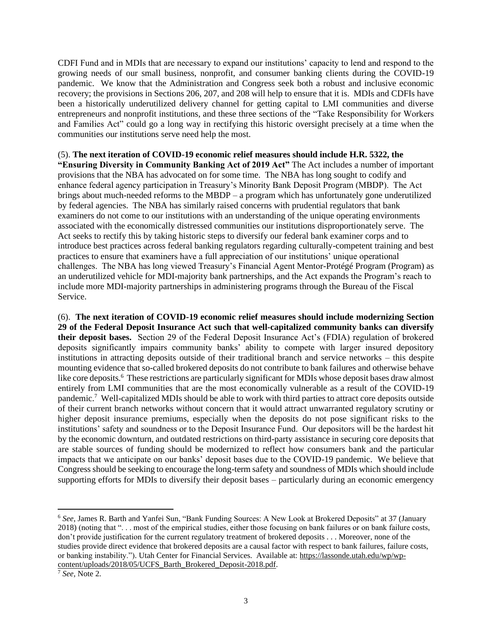CDFI Fund and in MDIs that are necessary to expand our institutions' capacity to lend and respond to the growing needs of our small business, nonprofit, and consumer banking clients during the COVID-19 pandemic. We know that the Administration and Congress seek both a robust and inclusive economic recovery; the provisions in Sections 206, 207, and 208 will help to ensure that it is. MDIs and CDFIs have been a historically underutilized delivery channel for getting capital to LMI communities and diverse entrepreneurs and nonprofit institutions, and these three sections of the "Take Responsibility for Workers and Families Act" could go a long way in rectifying this historic oversight precisely at a time when the communities our institutions serve need help the most.

## (5). **The next iteration of COVID-19 economic relief measures should include H.R. 5322, the**

**"Ensuring Diversity in Community Banking Act of 2019 Act"** The Act includes a number of important provisions that the NBA has advocated on for some time. The NBA has long sought to codify and enhance federal agency participation in Treasury's Minority Bank Deposit Program (MBDP). The Act brings about much-needed reforms to the MBDP – a program which has unfortunately gone underutilized by federal agencies. The NBA has similarly raised concerns with prudential regulators that bank examiners do not come to our institutions with an understanding of the unique operating environments associated with the economically distressed communities our institutions disproportionately serve. The Act seeks to rectify this by taking historic steps to diversify our federal bank examiner corps and to introduce best practices across federal banking regulators regarding culturally-competent training and best practices to ensure that examiners have a full appreciation of our institutions' unique operational challenges. The NBA has long viewed Treasury's Financial Agent Mentor-Protégé Program (Program) as an underutilized vehicle for MDI-majority bank partnerships, and the Act expands the Program's reach to include more MDI-majority partnerships in administering programs through the Bureau of the Fiscal Service.

(6). **The next iteration of COVID-19 economic relief measures should include modernizing Section 29 of the Federal Deposit Insurance Act such that well-capitalized community banks can diversify their deposit bases.** Section 29 of the Federal Deposit Insurance Act's (FDIA) regulation of brokered deposits significantly impairs community banks' ability to compete with larger insured depository institutions in attracting deposits outside of their traditional branch and service networks – this despite mounting evidence that so-called brokered deposits do not contribute to bank failures and otherwise behave like core deposits.<sup>6</sup> These restrictions are particularly significant for MDIs whose deposit bases draw almost entirely from LMI communities that are the most economically vulnerable as a result of the COVID-19 pandemic.<sup>7</sup> Well-capitalized MDIs should be able to work with third parties to attract core deposits outside of their current branch networks without concern that it would attract unwarranted regulatory scrutiny or higher deposit insurance premiums, especially when the deposits do not pose significant risks to the institutions' safety and soundness or to the Deposit Insurance Fund. Our depositors will be the hardest hit by the economic downturn, and outdated restrictions on third-party assistance in securing core deposits that are stable sources of funding should be modernized to reflect how consumers bank and the particular impacts that we anticipate on our banks' deposit bases due to the COVID-19 pandemic. We believe that Congress should be seeking to encourage the long-term safety and soundness of MDIs which should include supporting efforts for MDIs to diversify their deposit bases – particularly during an economic emergency

<sup>6</sup> *See*, James R. Barth and Yanfei Sun, "Bank Funding Sources: A New Look at Brokered Deposits" at 37 (January 2018) (noting that ". . . most of the empirical studies, either those focusing on bank failures or on bank failure costs, don't provide justification for the current regulatory treatment of brokered deposits . . . Moreover, none of the studies provide direct evidence that brokered deposits are a causal factor with respect to bank failures, failure costs, or banking instability."). Utah Center for Financial Services. Available at: [https://lassonde.utah.edu/wp/wp](https://lassonde.utah.edu/wp/wp-content/uploads/2018/05/UCFS_Barth_Brokered_Deposit-2018.pdf)[content/uploads/2018/05/UCFS\\_Barth\\_Brokered\\_Deposit-2018.pdf.](https://lassonde.utah.edu/wp/wp-content/uploads/2018/05/UCFS_Barth_Brokered_Deposit-2018.pdf)

<sup>7</sup> *See,* Note 2.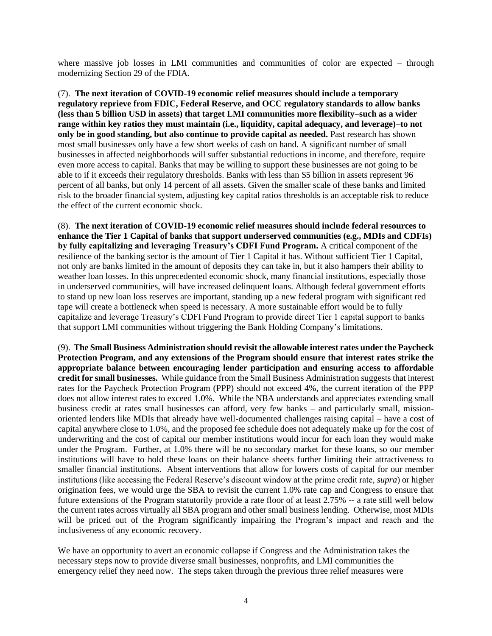where massive job losses in LMI communities and communities of color are expected – through modernizing Section 29 of the FDIA.

(7). **The next iteration of COVID-19 economic relief measures should include a temporary regulatory reprieve from FDIC, Federal Reserve, and OCC regulatory standards to allow banks (less than 5 billion USD in assets) that target LMI communities more flexibility–such as a wider range within key ratios they must maintain (i.e., liquidity, capital adequacy, and leverage)–to not only be in good standing, but also continue to provide capital as needed.** Past research has shown most small businesses only have a few short weeks of cash on hand. A significant number of small businesses in affected neighborhoods will suffer substantial reductions in income, and therefore, require even more access to capital. Banks that may be willing to support these businesses are not going to be able to if it exceeds their regulatory thresholds. Banks with less than \$5 billion in assets represent 96 percent of all banks, but only 14 percent of all assets. Given the smaller scale of these banks and limited risk to the broader financial system, adjusting key capital ratios thresholds is an acceptable risk to reduce the effect of the current economic shock.

(8). **The next iteration of COVID-19 economic relief measures should include federal resources to enhance the Tier 1 Capital of banks that support underserved communities (e.g., MDIs and CDFIs) by fully capitalizing and leveraging Treasury's CDFI Fund Program.** A critical component of the resilience of the banking sector is the amount of Tier 1 Capital it has. Without sufficient Tier 1 Capital, not only are banks limited in the amount of deposits they can take in, but it also hampers their ability to weather loan losses. In this unprecedented economic shock, many financial institutions, especially those in underserved communities, will have increased delinquent loans. Although federal government efforts to stand up new loan loss reserves are important, standing up a new federal program with significant red tape will create a bottleneck when speed is necessary. A more sustainable effort would be to fully capitalize and leverage Treasury's CDFI Fund Program to provide direct Tier 1 capital support to banks that support LMI communities without triggering the Bank Holding Company's limitations.

(9). **The Small Business Administration should revisit the allowable interest rates under the Paycheck Protection Program, and any extensions of the Program should ensure that interest rates strike the appropriate balance between encouraging lender participation and ensuring access to affordable credit for small businesses.** While guidance from the Small Business Administration suggests that interest rates for the Paycheck Protection Program (PPP) should not exceed 4%, the current iteration of the PPP does not allow interest rates to exceed 1.0%. While the NBA understands and appreciates extending small business credit at rates small businesses can afford, very few banks – and particularly small, missionoriented lenders like MDIs that already have well-documented challenges raising capital – have a cost of capital anywhere close to 1.0%, and the proposed fee schedule does not adequately make up for the cost of underwriting and the cost of capital our member institutions would incur for each loan they would make under the Program. Further, at 1.0% there will be no secondary market for these loans, so our member institutions will have to hold these loans on their balance sheets further limiting their attractiveness to smaller financial institutions. Absent interventions that allow for lowers costs of capital for our member institutions (like accessing the Federal Reserve's discount window at the prime credit rate, *supra*) or higher origination fees, we would urge the SBA to revisit the current 1.0% rate cap and Congress to ensure that future extensions of the Program statutorily provide a rate floor of at least 2.75% -- a rate still well below the current rates across virtually all SBA program and other small business lending. Otherwise, most MDIs will be priced out of the Program significantly impairing the Program's impact and reach and the inclusiveness of any economic recovery.

We have an opportunity to avert an economic collapse if Congress and the Administration takes the necessary steps now to provide diverse small businesses, nonprofits, and LMI communities the emergency relief they need now. The steps taken through the previous three relief measures were